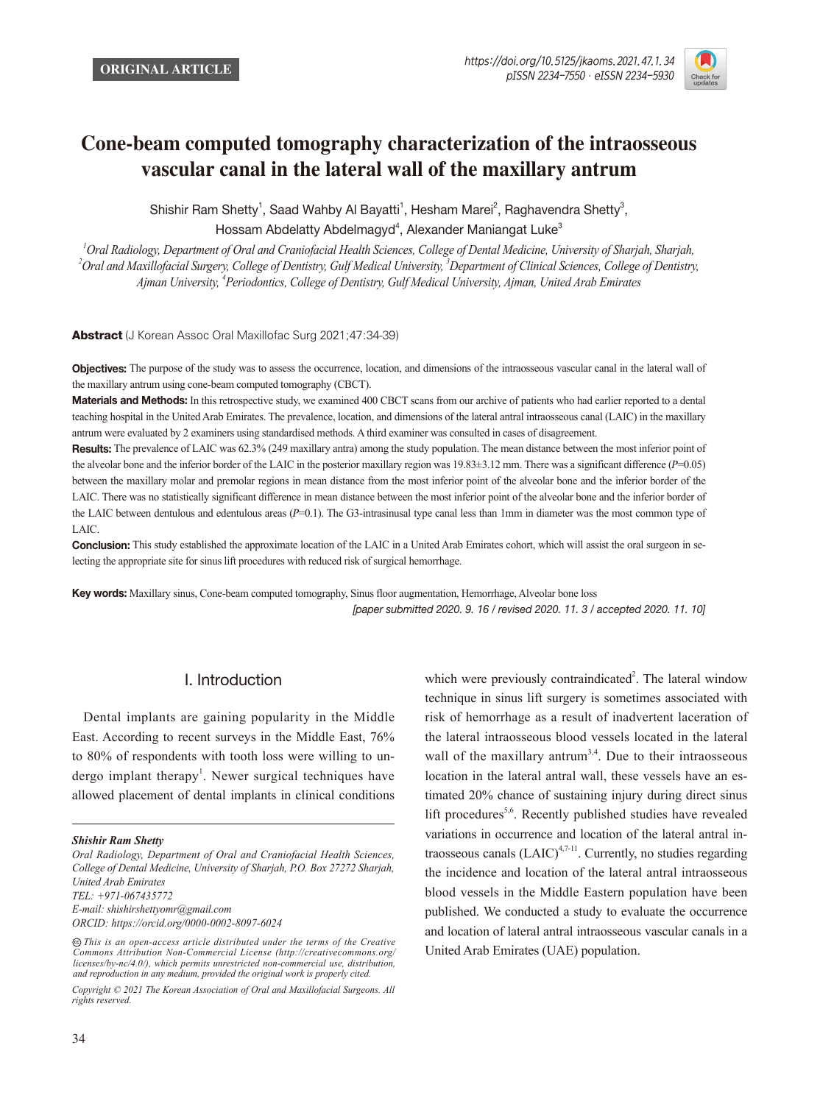

# **Cone-beam computed tomography characterization of the intraosseous vascular canal in the lateral wall of the maxillary antrum**

Shishir Ram Shetty<sup>1</sup>, Saad Wahby Al Bayatti<sup>1</sup>, Hesham Marei<sup>2</sup>, Raghavendra Shetty<sup>3</sup>, Hossam Abdelatty Abdelmagyd<sup>4</sup>, Alexander Maniangat Luke<sup>3</sup>

*<sup>1</sup>Oral Radiology, Department of Oral and Craniofacial Health Sciences, College of Dental Medicine, University of Sharjah, Sharjah, <sup>2</sup>Oral and Maxillofacial Surgery, College of Dentistry, Gulf Medical University, <sup>3</sup>Department of Clinical Sciences, College of Dentistry, Ajman University, <sup>4</sup>Periodontics, College of Dentistry, Gulf Medical University, Ajman, United Arab Emirates*

Abstract (J Korean Assoc Oral Maxillofac Surg 2021;47:34-39)

**Objectives:** The purpose of the study was to assess the occurrence, location, and dimensions of the intraosseous vascular canal in the lateral wall of the maxillary antrum using cone-beam computed tomography (CBCT).

Materials and Methods: In this retrospective study, we examined 400 CBCT scans from our archive of patients who had earlier reported to a dental teaching hospital in the United Arab Emirates. The prevalence, location, and dimensions of the lateral antral intraosseous canal (LAIC) in the maxillary antrum were evaluated by 2 examiners using standardised methods. A third examiner was consulted in cases of disagreement.

Results: The prevalence of LAIC was 62.3% (249 maxillary antra) among the study population. The mean distance between the most inferior point of the alveolar bone and the inferior border of the LAIC in the posterior maxillary region was  $19.83\pm3.12$  mm. There was a significant difference ( $P=0.05$ ) between the maxillary molar and premolar regions in mean distance from the most inferior point of the alveolar bone and the inferior border of the LAIC. There was no statistically significant difference in mean distance between the most inferior point of the alveolar bone and the inferior border of the LAIC between dentulous and edentulous areas (P=0.1). The G3-intrasinusal type canal less than 1mm in diameter was the most common type of LAIC.

Conclusion: This study established the approximate location of the LAIC in a United Arab Emirates cohort, which will assist the oral surgeon in selecting the appropriate site for sinus lift procedures with reduced risk of surgical hemorrhage.

Key words: Maxillary sinus, Cone-beam computed tomography, Sinus floor augmentation, Hemorrhage, Alveolar bone loss [paper submitted 2020. 9. 16 / revised 2020. 11. 3 / accepted 2020. 11. 10]

#### I. Introduction

Dental implants are gaining popularity in the Middle East. According to recent surveys in the Middle East, 76% to 80% of respondents with tooth loss were willing to undergo implant therapy<sup>1</sup>. Newer surgical techniques have allowed placement of dental implants in clinical conditions

which were previously contraindicated<sup>2</sup>. The lateral window technique in sinus lift surgery is sometimes associated with risk of hemorrhage as a result of inadvertent laceration of the lateral intraosseous blood vessels located in the lateral wall of the maxillary antrum<sup>3,4</sup>. Due to their intraosseous location in the lateral antral wall, these vessels have an estimated 20% chance of sustaining injury during direct sinus lift procedures<sup>5,6</sup>. Recently published studies have revealed variations in occurrence and location of the lateral antral intraosseous canals  $(LAIC)^{4,7-11}$ . Currently, no studies regarding the incidence and location of the lateral antral intraosseous blood vessels in the Middle Eastern population have been published. We conducted a study to evaluate the occurrence and location of lateral antral intraosseous vascular canals in a United Arab Emirates (UAE) population.

*Shishir Ram Shetty*

*Oral Radiology, Department of Oral and Craniofacial Health Sciences, College of Dental Medicine, University of Sharjah, P.O. Box 27272 Sharjah, United Arab Emirates TEL: +971-067435772 E-mail: shishirshettyomr@gmail.com ORCID: https://orcid.org/0000-0002-8097-6024*

 $\circledcirc$  **This is an open-access article distributed under the terms of the Creative** *Commons Attribution Non-Commercial License (http://creativecommons.org/ licenses/by-nc/4.0/), which permits unrestricted non-commercial use, distribution, and reproduction in any medium, provided the original work is properly cited.*

*Copyright © 2021 The Korean Association of Oral and Maxillofacial Surgeons. All rights reserved.*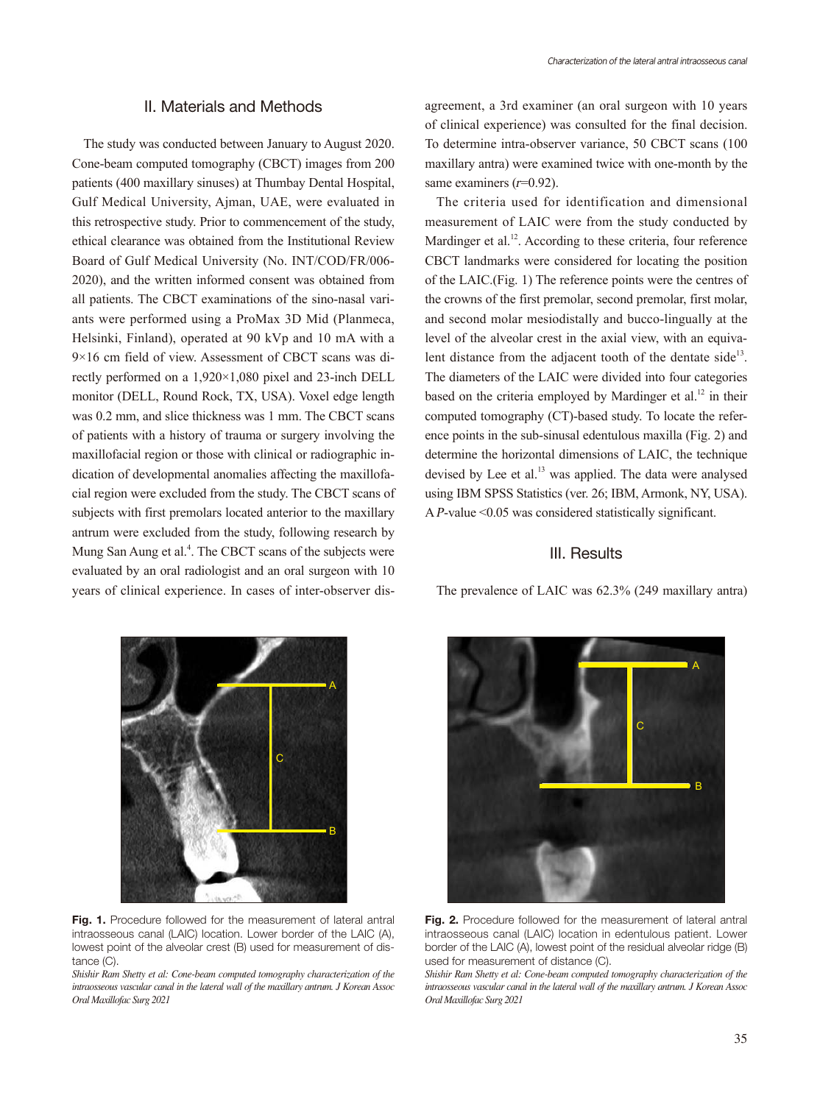#### II. Materials and Methods

The study was conducted between January to August 2020. Cone-beam computed tomography (CBCT) images from 200 patients (400 maxillary sinuses) at Thumbay Dental Hospital, Gulf Medical University, Ajman, UAE, were evaluated in this retrospective study. Prior to commencement of the study, ethical clearance was obtained from the Institutional Review Board of Gulf Medical University (No. INT/COD/FR/006- 2020), and the written informed consent was obtained from all patients. The CBCT examinations of the sino-nasal variants were performed using a ProMax 3D Mid (Planmeca, Helsinki, Finland), operated at 90 kVp and 10 mA with a 9×16 cm field of view. Assessment of CBCT scans was directly performed on a 1,920×1,080 pixel and 23-inch DELL monitor (DELL, Round Rock, TX, USA). Voxel edge length was 0.2 mm, and slice thickness was 1 mm. The CBCT scans of patients with a history of trauma or surgery involving the maxillofacial region or those with clinical or radiographic indication of developmental anomalies affecting the maxillofacial region were excluded from the study. The CBCT scans of subjects with first premolars located anterior to the maxillary antrum were excluded from the study, following research by Mung San Aung et al.<sup>4</sup>. The CBCT scans of the subjects were evaluated by an oral radiologist and an oral surgeon with 10 years of clinical experience. In cases of inter-observer dis-

agreement, a 3rd examiner (an oral surgeon with 10 years of clinical experience) was consulted for the final decision. To determine intra-observer variance, 50 CBCT scans (100 maxillary antra) were examined twice with one-month by the same examiners  $(r=0.92)$ .

The criteria used for identification and dimensional measurement of LAIC were from the study conducted by Mardinger et al.<sup>12</sup>. According to these criteria, four reference CBCT landmarks were considered for locating the position of the LAIC.(Fig. 1) The reference points were the centres of the crowns of the first premolar, second premolar, first molar, and second molar mesiodistally and bucco-lingually at the level of the alveolar crest in the axial view, with an equivalent distance from the adjacent tooth of the dentate side $13$ . The diameters of the LAIC were divided into four categories based on the criteria employed by Mardinger et al.<sup>12</sup> in their computed tomography (CT)-based study. To locate the reference points in the sub-sinusal edentulous maxilla (Fig. 2) and determine the horizontal dimensions of LAIC, the technique devised by Lee et al.<sup>13</sup> was applied. The data were analysed using IBM SPSS Statistics (ver. 26; IBM, Armonk, NY, USA). A P-value  $\leq 0.05$  was considered statistically significant.

#### III. Results

The prevalence of LAIC was 62.3% (249 maxillary antra)

A B C

Fig. 1. Procedure followed for the measurement of lateral antral intraosseous canal (LAIC) location. Lower border of the LAIC (A), lowest point of the alveolar crest (B) used for measurement of distance (C).

*Shishir Ram Shetty et al: Cone-beam computed tomography characterization of the intraosseous vascular canal in the lateral wall of the maxillary antrum. J Korean Assoc Oral Maxillofac Surg 2021*



Fig. 2. Procedure followed for the measurement of lateral antral intraosseous canal (LAIC) location in edentulous patient. Lower border of the LAIC (A), lowest point of the residual alveolar ridge (B) used for measurement of distance (C).

*Shishir Ram Shetty et al: Cone-beam computed tomography characterization of the intraosseous vascular canal in the lateral wall of the maxillary antrum. J Korean Assoc Oral Maxillofac Surg 2021*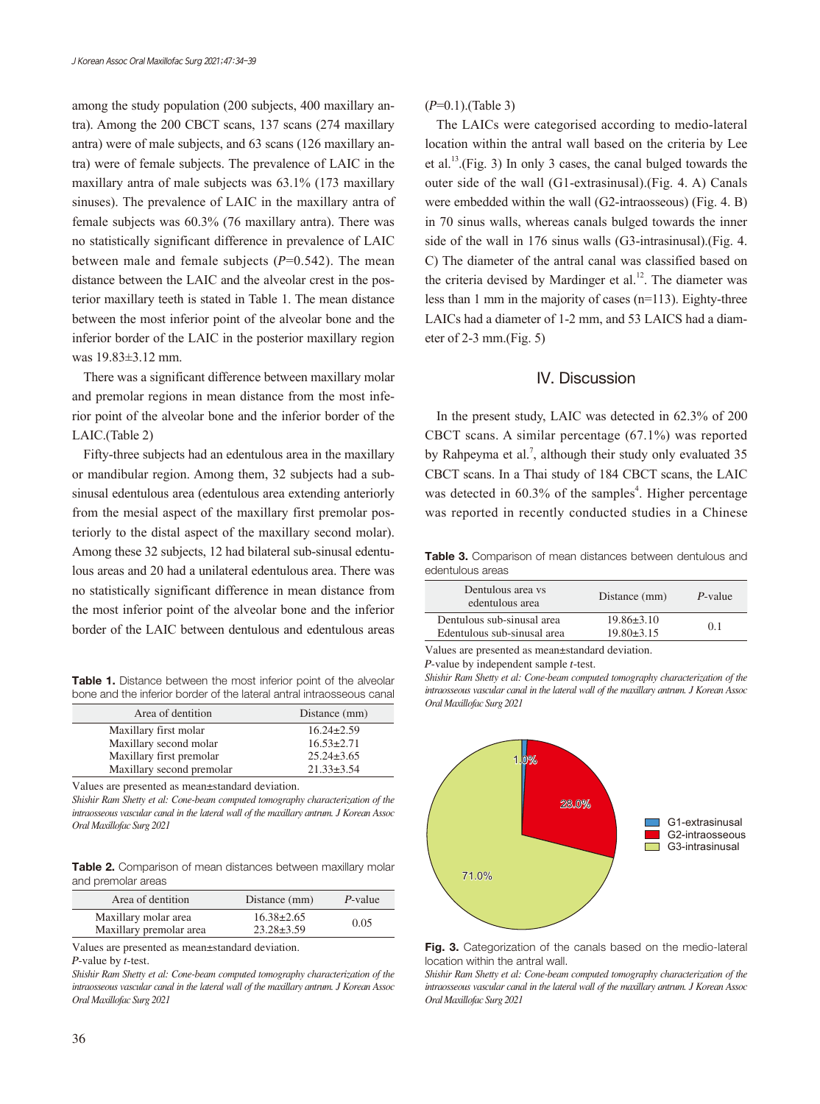among the study population (200 subjects, 400 maxillary antra). Among the 200 CBCT scans, 137 scans (274 maxillary antra) were of male subjects, and 63 scans (126 maxillary antra) were of female subjects. The prevalence of LAIC in the maxillary antra of male subjects was 63.1% (173 maxillary sinuses). The prevalence of LAIC in the maxillary antra of female subjects was 60.3% (76 maxillary antra). There was no statistically significant difference in prevalence of LAIC between male and female subjects  $(P=0.542)$ . The mean distance between the LAIC and the alveolar crest in the posterior maxillary teeth is stated in Table 1. The mean distance between the most inferior point of the alveolar bone and the inferior border of the LAIC in the posterior maxillary region was 19.83±3.12 mm.

There was a significant difference between maxillary molar and premolar regions in mean distance from the most inferior point of the alveolar bone and the inferior border of the LAIC.(Table 2)

Fifty-three subjects had an edentulous area in the maxillary or mandibular region. Among them, 32 subjects had a subsinusal edentulous area (edentulous area extending anteriorly from the mesial aspect of the maxillary first premolar posteriorly to the distal aspect of the maxillary second molar). Among these 32 subjects, 12 had bilateral sub-sinusal edentulous areas and 20 had a unilateral edentulous area. There was no statistically significant difference in mean distance from the most inferior point of the alveolar bone and the inferior border of the LAIC between dentulous and edentulous areas

Table 1. Distance between the most inferior point of the alveolar bone and the inferior border of the lateral antral intraosseous canal

| Area of dentition         | Distance (mm)    |
|---------------------------|------------------|
| Maxillary first molar     | $16.24 \pm 2.59$ |
| Maxillary second molar    | $16.53 \pm 2.71$ |
| Maxillary first premolar  | $25.24 \pm 3.65$ |
| Maxillary second premolar | $21.33 \pm 3.54$ |

Values are presented as mean±standard deviation.

*Shishir Ram Shetty et al: Cone-beam computed tomography characterization of the intraosseous vascular canal in the lateral wall of the maxillary antrum. J Korean Assoc Oral Maxillofac Surg 2021*

Table 2. Comparison of mean distances between maxillary molar and premolar areas

| Area of dentition                               | Distance (mm)                        | P-value |
|-------------------------------------------------|--------------------------------------|---------|
| Maxillary molar area<br>Maxillary premolar area | $16.38 \pm 2.65$<br>$23.28 \pm 3.59$ | 0.05    |

Values are presented as mean±standard deviation.

<sup>P</sup>-value by t-test.

*Shishir Ram Shetty et al: Cone-beam computed tomography characterization of the intraosseous vascular canal in the lateral wall of the maxillary antrum. J Korean Assoc Oral Maxillofac Surg 2021*

The LAICs were categorised according to medio-lateral location within the antral wall based on the criteria by Lee et al.<sup>13</sup>.(Fig. 3) In only 3 cases, the canal bulged towards the outer side of the wall (G1-extrasinusal).(Fig. 4. A) Canals were embedded within the wall (G2-intraosseous) (Fig. 4. B) in 70 sinus walls, whereas canals bulged towards the inner side of the wall in 176 sinus walls (G3-intrasinusal).(Fig. 4. C) The diameter of the antral canal was classified based on the criteria devised by Mardinger et al. $12$ . The diameter was less than 1 mm in the majority of cases (n=113). Eighty-three LAICs had a diameter of 1-2 mm, and 53 LAICS had a diameter of 2-3 mm.(Fig. 5)

#### IV. Discussion

In the present study, LAIC was detected in 62.3% of 200 CBCT scans. A similar percentage (67.1%) was reported by Rahpeyma et al.<sup>7</sup>, although their study only evaluated  $35$ CBCT scans. In a Thai study of 184 CBCT scans, the LAIC was detected in 60.3% of the samples<sup>4</sup>. Higher percentage was reported in recently conducted studies in a Chinese

Table 3. Comparison of mean distances between dentulous and edentulous areas

| Dentulous area vs<br>edentulous area                      | Distance (mm)                        | P-value |
|-----------------------------------------------------------|--------------------------------------|---------|
| Dentulous sub-sinusal area<br>Edentulous sub-sinusal area | $19.86 \pm 3.10$<br>$19.80 \pm 3.15$ | 0.1     |
|                                                           |                                      |         |

Values are presented as mean±standard deviation.

<sup>P</sup>-value by independent sample t-test.

*Shishir Ram Shetty et al: Cone-beam computed tomography characterization of the intraosseous vascular canal in the lateral wall of the maxillary antrum. J Korean Assoc Oral Maxillofac Surg 2021*





*Shishir Ram Shetty et al: Cone-beam computed tomography characterization of the intraosseous vascular canal in the lateral wall of the maxillary antrum. J Korean Assoc Oral Maxillofac Surg 2021*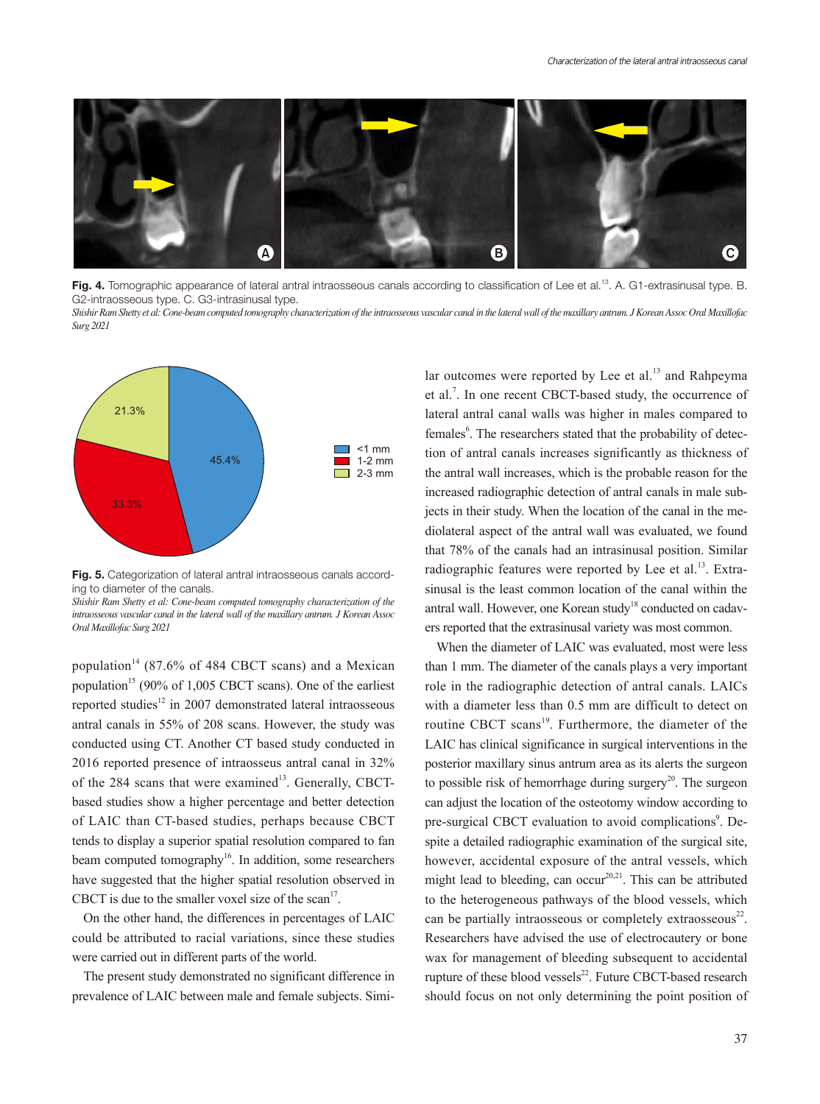

Fig. 4. Tomographic appearance of lateral antral intraosseous canals according to classification of Lee et al.<sup>13</sup>. A. G1-extrasinusal type. B. G2-intraosseous type. C. G3-intrasinusal type.

*Shishir Ram Shetty et al: Cone-beam computed tomography characterization of the intraosseous vascular canal in the lateral wall of the maxillary antrum. J Korean Assoc Oral Maxillofac Surg 2021*



Fig. 5. Categorization of lateral antral intraosseous canals according to diameter of the canals.

*Shishir Ram Shetty et al: Cone-beam computed tomography characterization of the intraosseous vascular canal in the lateral wall of the maxillary antrum. J Korean Assoc Oral Maxillofac Surg 2021*

population<sup>14</sup> (87.6% of 484 CBCT scans) and a Mexican population<sup>15</sup> (90% of 1,005 CBCT scans). One of the earliest reported studies<sup>12</sup> in 2007 demonstrated lateral intraosseous antral canals in 55% of 208 scans. However, the study was conducted using CT. Another CT based study conducted in 2016 reported presence of intraosseus antral canal in 32% of the  $284$  scans that were examined<sup>13</sup>. Generally, CBCTbased studies show a higher percentage and better detection of LAIC than CT-based studies, perhaps because CBCT tends to display a superior spatial resolution compared to fan beam computed tomography<sup>16</sup>. In addition, some researchers have suggested that the higher spatial resolution observed in CBCT is due to the smaller voxel size of the scan<sup>17</sup>.

On the other hand, the differences in percentages of LAIC could be attributed to racial variations, since these studies were carried out in different parts of the world.

The present study demonstrated no significant difference in prevalence of LAIC between male and female subjects. Simi-

lar outcomes were reported by Lee et al.<sup>13</sup> and Rahpeyma et al.<sup>7</sup>. In one recent CBCT-based study, the occurrence of lateral antral canal walls was higher in males compared to females<sup>6</sup>. The researchers stated that the probability of detection of antral canals increases significantly as thickness of the antral wall increases, which is the probable reason for the increased radiographic detection of antral canals in male subjects in their study. When the location of the canal in the mediolateral aspect of the antral wall was evaluated, we found that 78% of the canals had an intrasinusal position. Similar radiographic features were reported by Lee et al. $^{13}$ . Extrasinusal is the least common location of the canal within the antral wall. However, one Korean study<sup>18</sup> conducted on cadavers reported that the extrasinusal variety was most common.

When the diameter of LAIC was evaluated, most were less than 1 mm. The diameter of the canals plays a very important role in the radiographic detection of antral canals. LAICs with a diameter less than 0.5 mm are difficult to detect on routine CBCT scans<sup>19</sup>. Furthermore, the diameter of the LAIC has clinical significance in surgical interventions in the posterior maxillary sinus antrum area as its alerts the surgeon to possible risk of hemorrhage during surgery<sup>20</sup>. The surgeon can adjust the location of the osteotomy window according to pre-surgical CBCT evaluation to avoid complications<sup>9</sup>. Despite a detailed radiographic examination of the surgical site, however, accidental exposure of the antral vessels, which might lead to bleeding, can occur<sup>20,21</sup>. This can be attributed to the heterogeneous pathways of the blood vessels, which can be partially intraosseous or completely extraosseous $22$ . Researchers have advised the use of electrocautery or bone wax for management of bleeding subsequent to accidental rupture of these blood vessels $^{22}$ . Future CBCT-based research should focus on not only determining the point position of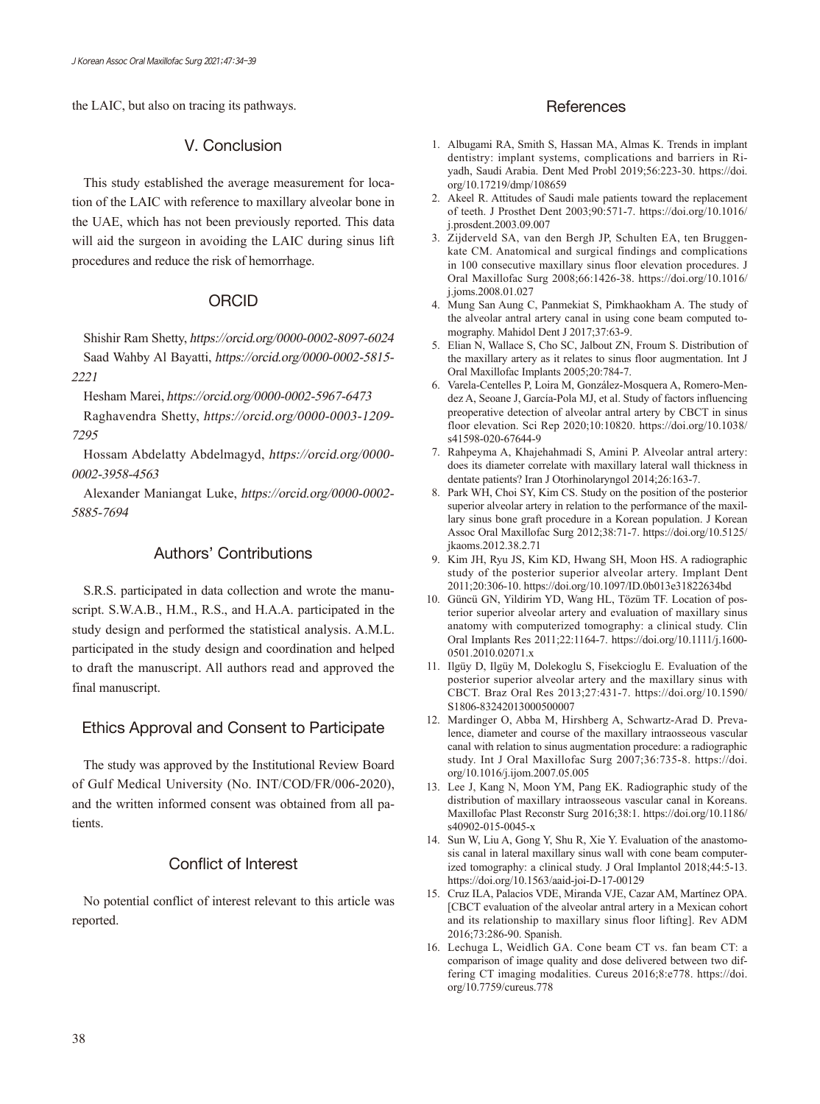the LAIC, but also on tracing its pathways.

### V. Conclusion

This study established the average measurement for location of the LAIC with reference to maxillary alveolar bone in the UAE, which has not been previously reported. This data will aid the surgeon in avoiding the LAIC during sinus lift procedures and reduce the risk of hemorrhage.

### ORCID

Shishir Ram Shetty, https://orcid.org/0000-0002-8097-6024 Saad Wahby Al Bayatti, https://orcid.org/0000-0002-5815- 2221

Hesham Marei, https://orcid.org/0000-0002-5967-6473

Raghavendra Shetty, https://orcid.org/0000-0003-1209- 7295

Hossam Abdelatty Abdelmagyd, https://orcid.org/0000- 0002-3958-4563

Alexander Maniangat Luke, https://orcid.org/0000-0002- 5885-7694

### Authors' Contributions

S.R.S. participated in data collection and wrote the manuscript. S.W.A.B., H.M., R.S., and H.A.A. participated in the study design and performed the statistical analysis. A.M.L. participated in the study design and coordination and helped to draft the manuscript. All authors read and approved the final manuscript.

# Ethics Approval and Consent to Participate

The study was approved by the Institutional Review Board of Gulf Medical University (No. INT/COD/FR/006-2020), and the written informed consent was obtained from all patients.

# Conflict of Interest

No potential conflict of interest relevant to this article was reported.

### **References**

- 1. Albugami RA, Smith S, Hassan MA, Almas K. Trends in implant dentistry: implant systems, complications and barriers in Riyadh, Saudi Arabia. Dent Med Probl 2019;56:223-30. https://doi. org/10.17219/dmp/108659
- 2. Akeel R. Attitudes of Saudi male patients toward the replacement of teeth. J Prosthet Dent 2003;90:571-7. https://doi.org/10.1016/ j.prosdent.2003.09.007
- 3. Zijderveld SA, van den Bergh JP, Schulten EA, ten Bruggenkate CM. Anatomical and surgical findings and complications in 100 consecutive maxillary sinus floor elevation procedures. J Oral Maxillofac Surg 2008;66:1426-38. https://doi.org/10.1016/ j.joms.2008.01.027
- 4. Mung San Aung C, Panmekiat S, Pimkhaokham A. The study of the alveolar antral artery canal in using cone beam computed tomography. Mahidol Dent J 2017;37:63-9.
- 5. Elian N, Wallace S, Cho SC, Jalbout ZN, Froum S. Distribution of the maxillary artery as it relates to sinus floor augmentation. Int J Oral Maxillofac Implants 2005;20:784-7.
- 6. Varela-Centelles P, Loira M, González-Mosquera A, Romero-Mendez A, Seoane J, García-Pola MJ, et al. Study of factors influencing preoperative detection of alveolar antral artery by CBCT in sinus floor elevation. Sci Rep 2020;10:10820. https://doi.org/10.1038/ s41598-020-67644-9
- 7. Rahpeyma A, Khajehahmadi S, Amini P. Alveolar antral artery: does its diameter correlate with maxillary lateral wall thickness in dentate patients? Iran J Otorhinolaryngol 2014;26:163-7.
- 8. Park WH, Choi SY, Kim CS. Study on the position of the posterior superior alveolar artery in relation to the performance of the maxillary sinus bone graft procedure in a Korean population. J Korean Assoc Oral Maxillofac Surg 2012;38:71-7. https://doi.org/10.5125/ jkaoms.2012.38.2.71
- 9. Kim JH, Ryu JS, Kim KD, Hwang SH, Moon HS. A radiographic study of the posterior superior alveolar artery. Implant Dent 2011;20:306-10. https://doi.org/10.1097/ID.0b013e31822634bd
- 10. Güncü GN, Yildirim YD, Wang HL, Tözüm TF. Location of posterior superior alveolar artery and evaluation of maxillary sinus anatomy with computerized tomography: a clinical study. Clin Oral Implants Res 2011;22:1164-7. https://doi.org/10.1111/j.1600- 0501.2010.02071.x
- 11. Ilgüy D, Ilgüy M, Dolekoglu S, Fisekcioglu E. Evaluation of the posterior superior alveolar artery and the maxillary sinus with CBCT. Braz Oral Res 2013;27:431-7. https://doi.org/10.1590/ S1806-83242013000500007
- 12. Mardinger O, Abba M, Hirshberg A, Schwartz-Arad D. Prevalence, diameter and course of the maxillary intraosseous vascular canal with relation to sinus augmentation procedure: a radiographic study. Int J Oral Maxillofac Surg 2007;36:735-8. https://doi. org/10.1016/j.ijom.2007.05.005
- 13. Lee J, Kang N, Moon YM, Pang EK. Radiographic study of the distribution of maxillary intraosseous vascular canal in Koreans. Maxillofac Plast Reconstr Surg 2016;38:1. https://doi.org/10.1186/ s40902-015-0045-x
- 14. Sun W, Liu A, Gong Y, Shu R, Xie Y. Evaluation of the anastomosis canal in lateral maxillary sinus wall with cone beam computerized tomography: a clinical study. J Oral Implantol 2018;44:5-13. https://doi.org/10.1563/aaid-joi-D-17-00129
- 15. Cruz ILA, Palacios VDE, Miranda VJE, Cazar AM, Martínez OPA. [CBCT evaluation of the alveolar antral artery in a Mexican cohort and its relationship to maxillary sinus floor lifting]. Rev ADM 2016;73:286-90. Spanish.
- 16. Lechuga L, Weidlich GA. Cone beam CT vs. fan beam CT: a comparison of image quality and dose delivered between two differing CT imaging modalities. Cureus 2016;8:e778. https://doi. org/10.7759/cureus.778